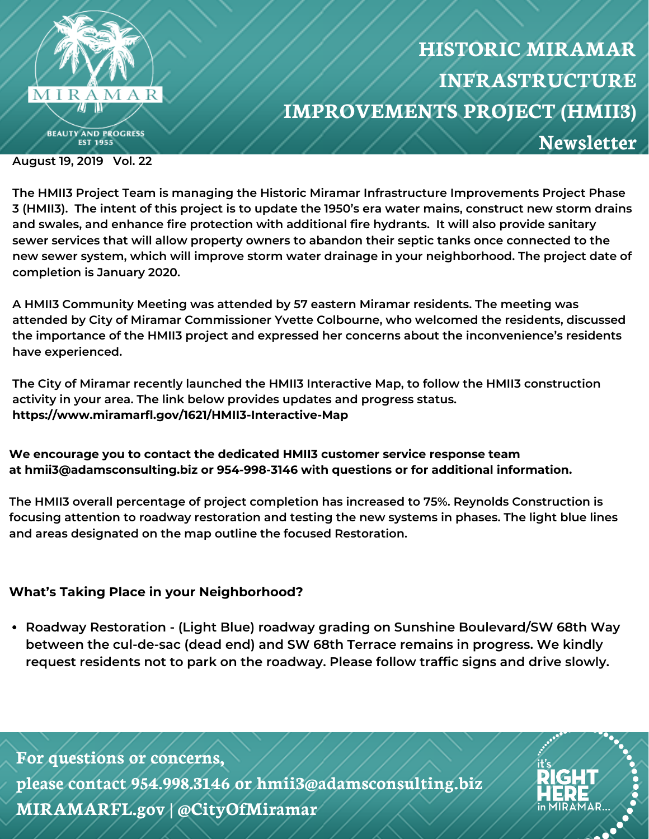

## **HISTORIC MIRAMAR INFRASTRUCTURE IMPROVEMENTS PROJECT (HMII3) Newsletter**

**August 19, 2019 Vol. 22**

**The HMII3 Project Team is managing the Historic Miramar Infrastructure Improvements Project Phase** 3 (HMII3). The intent of this project is to update the 1950's era water mains, construct new storm drains **and swales, and enhance fire protection with additional fire hydrants. It will also provide sanitary sewer services that will allow property owners to abandon their septic tanks once connected to the new sewer system, which will improve storm water drainage in your neighborhood. The project date of completion is January 2020.**

**A HMII3 Community Meeting was attended by 57 eastern Miramar residents. The meeting was attended by City of Miramar Commissioner Yvette Colbourne, who welcomed the residents, discussed the importance of the HMII3 project and expressed her concerns about the inconvenience's residents have experienced.**

**The City of Miramar recently launched the HMII3 Interactive Map, to follow the HMII3 construction activity in your area. The link below provides updates and progress status. https://www.miramarfl.gov/1621/HMII3-Interactive-Map**

**We encourage you to contact the dedicated HMII3 customer service response team at hmii3@adamsconsulting.biz or 954-998-3146 with questions or for additional information.**

**The HMII3 overall percentage of project completion has increased to 75%. Reynolds Construction is focusing attention to roadway restoration and testing the new systems in phases. The light blue lines and areas designated on the map outline the focused Restoration.**

## **What's Taking Place in your Neighborhood?**

**Roadway Restoration - (Light Blue) roadway grading on Sunshine Boulevard/SW 68th Way between the cul-de-sac (dead end) and SW 68th Terrace remains in progress. We kindly request residents not to park on the roadway. Please follow traffic signs and drive slowly.**

**For questions or concerns, please contact 954.998.3146 or hmii3@adamsconsulting.biz MIRAMARFL.gov | @CityOfMiramar**

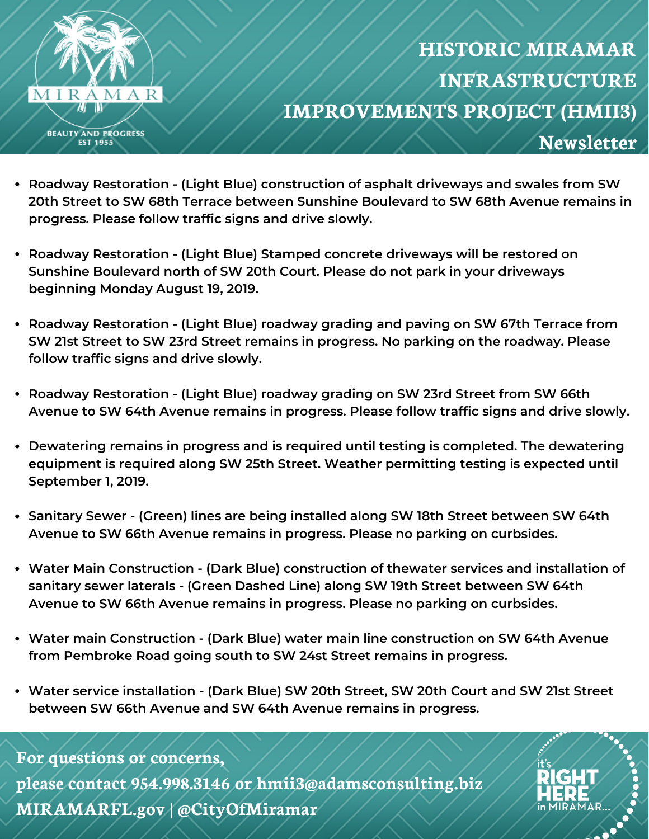

**IRAMAR** 

- **Roadway Restoration - (Light Blue) construction of asphalt driveways and swales from SW 20th Street to SW 68th Terrace between Sunshine Boulevard to SW 68th Avenue remains in progress. Please follow traffic signs and drive slowly.**
- **Roadway Restoration - (Light Blue) Stamped concrete driveways will be restored on Sunshine Boulevard north of SW 20th Court. Please do not park in your driveways beginning Monday August 19, 2019.**
- **Roadway Restoration - (Light Blue) roadway grading and paving on SW 67th Terrace from SW 21st Street to SW 23rd Street remains in progress. No parking on the roadway. Please follow traffic signs and drive slowly.**
- **Roadway Restoration - (Light Blue) roadway grading on SW 23rd Street from SW 66th Avenue to SW 64th Avenue remains in progress. Please follow traffic signs and drive slowly.**
- **Dewatering remains in progress and is required until testing is completed. The dewatering equipment is required along SW 25th Street. Weather permitting testing is expected until September 1, 2019.**
- **Sanitary Sewer - (Green) lines are being installed along SW 18th Street between SW 64th Avenue to SW 66th Avenue remains in progress. Please no parking on curbsides.**
- **Water Main Construction - (Dark Blue) construction of thewater services and installation of sanitary sewer laterals - (Green Dashed Line) along SW 19th Street between SW 64th Avenue to SW 66th Avenue remains in progress. Please no parking on curbsides.**
- **Water main Construction - (Dark Blue) water main line construction on SW 64th Avenue from Pembroke Road going south to SW 24st Street remains in progress.**
- **Water service installation - (Dark Blue) SW 20th Street, SW 20th Court and SW 21st Street between SW 66th Avenue and SW 64th Avenue remains in progress.**

## **For questions or concerns,**

**please contact 954.998.3146 or hmii3@adamsconsulting.biz MIRAMARFL.gov | @CityOfMiramar**